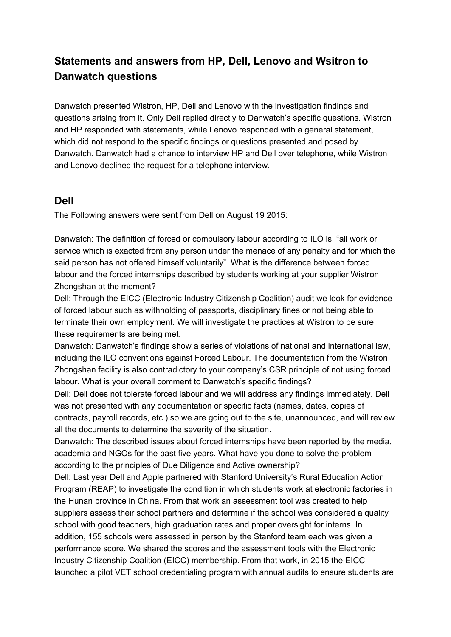# **Statements and answers from HP, Dell, Lenovo and Wsitron to Danwatch questions**

Danwatch presented Wistron, HP, Dell and Lenovo with the investigation findings and questions arising from it. Only Dell replied directly to Danwatch's specific questions. Wistron and HP responded with statements, while Lenovo responded with a general statement, which did not respond to the specific findings or questions presented and posed by Danwatch. Danwatch had a chance to interview HP and Dell over telephone, while Wistron and Lenovo declined the request for a telephone interview.

### **Dell**

The Following answers were sent from Dell on August 19 2015:

Danwatch: The definition of forced or compulsory labour according to ILO is: "all work or service which is exacted from any person under the menace of any penalty and for which the said person has not offered himself voluntarily". What is the difference between forced labour and the forced internships described by students working at your supplier Wistron Zhongshan at the moment?

Dell: Through the EICC (Electronic Industry Citizenship Coalition) audit we look for evidence of forced labour such as withholding of passports, disciplinary fines or not being able to terminate their own employment. We will investigate the practices at Wistron to be sure these requirements are being met.

Danwatch: Danwatch's findings show a series of violations of national and international law, including the ILO conventions against Forced Labour. The documentation from the Wistron Zhongshan facility is also contradictory to your company's CSR principle of not using forced labour. What is your overall comment to Danwatch's specific findings?

Dell: Dell does not tolerate forced labour and we will address any findings immediately. Dell was not presented with any documentation or specific facts (names, dates, copies of contracts, payroll records, etc.) so we are going out to the site, unannounced, and will review all the documents to determine the severity of the situation.

Danwatch: The described issues about forced internships have been reported by the media, academia and NGOs for the past five years. What have you done to solve the problem according to the principles of Due Diligence and Active ownership?

Dell: Last year Dell and Apple partnered with Stanford University's Rural Education Action Program (REAP) to investigate the condition in which students work at electronic factories in the Hunan province in China. From that work an assessment tool was created to help suppliers assess their school partners and determine if the school was considered a quality school with good teachers, high graduation rates and proper oversight for interns. In addition, 155 schools were assessed in person by the Stanford team each was given a performance score. We shared the scores and the assessment tools with the Electronic Industry Citizenship Coalition (EICC) membership. From that work, in 2015 the EICC launched a pilot VET school credentialing program with annual audits to ensure students are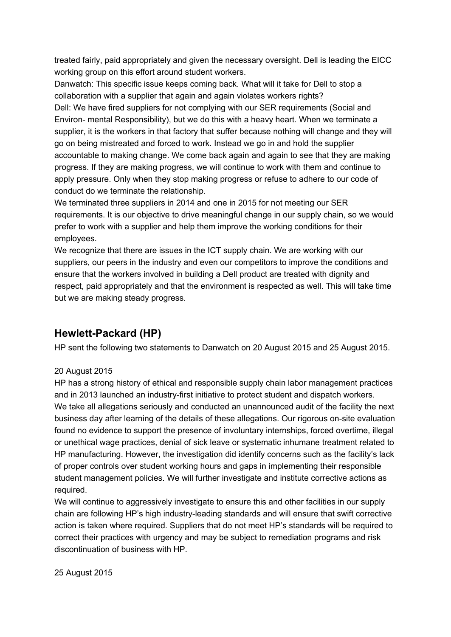treated fairly, paid appropriately and given the necessary oversight. Dell is leading the EICC working group on this effort around student workers.

Danwatch: This specific issue keeps coming back. What will it take for Dell to stop a collaboration with a supplier that again and again violates workers rights? Dell: We have fired suppliers for not complying with our SER requirements (Social and Environ- mental Responsibility), but we do this with a heavy heart. When we terminate a supplier, it is the workers in that factory that suffer because nothing will change and they will go on being mistreated and forced to work. Instead we go in and hold the supplier accountable to making change. We come back again and again to see that they are making progress. If they are making progress, we will continue to work with them and continue to apply pressure. Only when they stop making progress or refuse to adhere to our code of conduct do we terminate the relationship.

We terminated three suppliers in 2014 and one in 2015 for not meeting our SER requirements. It is our objective to drive meaningful change in our supply chain, so we would prefer to work with a supplier and help them improve the working conditions for their employees.

We recognize that there are issues in the ICT supply chain. We are working with our suppliers, our peers in the industry and even our competitors to improve the conditions and ensure that the workers involved in building a Dell product are treated with dignity and respect, paid appropriately and that the environment is respected as well. This will take time but we are making steady progress.

## **Hewlett-Packard (HP)**

HP sent the following two statements to Danwatch on 20 August 2015 and 25 August 2015.

#### 20 August 2015

HP has a strong history of ethical and responsible supply chain labor management practices and in 2013 launched an industry-first initiative to protect student and dispatch workers. We take all allegations seriously and conducted an unannounced audit of the facility the next business day after learning of the details of these allegations. Our rigorous on-site evaluation found no evidence to support the presence of involuntary internships, forced overtime, illegal or unethical wage practices, denial of sick leave or systematic inhumane treatment related to HP manufacturing. However, the investigation did identify concerns such as the facility's lack of proper controls over student working hours and gaps in implementing their responsible student management policies. We will further investigate and institute corrective actions as required.

We will continue to aggressively investigate to ensure this and other facilities in our supply chain are following HP's high industry-leading standards and will ensure that swift corrective action is taken where required. Suppliers that do not meet HP's standards will be required to correct their practices with urgency and may be subject to remediation programs and risk discontinuation of business with HP.

25 August 2015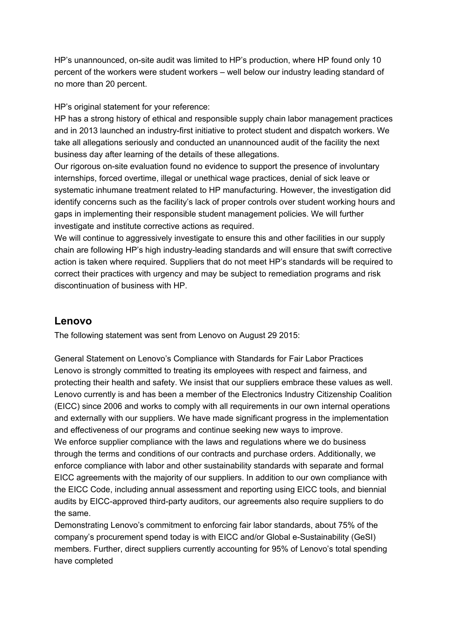HP's unannounced, on-site audit was limited to HP's production, where HP found only 10 percent of the workers were student workers – well below our industry leading standard of no more than 20 percent.

HP's original statement for your reference:

HP has a strong history of ethical and responsible supply chain labor management practices and in 2013 launched an industry-first initiative to protect student and dispatch workers. We take all allegations seriously and conducted an unannounced audit of the facility the next business day after learning of the details of these allegations.

Our rigorous on-site evaluation found no evidence to support the presence of involuntary internships, forced overtime, illegal or unethical wage practices, denial of sick leave or systematic inhumane treatment related to HP manufacturing. However, the investigation did identify concerns such as the facility's lack of proper controls over student working hours and gaps in implementing their responsible student management policies. We will further investigate and institute corrective actions as required.

We will continue to aggressively investigate to ensure this and other facilities in our supply chain are following HP's high industry-leading standards and will ensure that swift corrective action is taken where required. Suppliers that do not meet HP's standards will be required to correct their practices with urgency and may be subject to remediation programs and risk discontinuation of business with HP.

### **Lenovo**

The following statement was sent from Lenovo on August 29 2015:

General Statement on Lenovo's Compliance with Standards for Fair Labor Practices Lenovo is strongly committed to treating its employees with respect and fairness, and protecting their health and safety. We insist that our suppliers embrace these values as well. Lenovo currently is and has been a member of the Electronics Industry Citizenship Coalition (EICC) since 2006 and works to comply with all requirements in our own internal operations and externally with our suppliers. We have made significant progress in the implementation and effectiveness of our programs and continue seeking new ways to improve. We enforce supplier compliance with the laws and regulations where we do business through the terms and conditions of our contracts and purchase orders. Additionally, we enforce compliance with labor and other sustainability standards with separate and formal EICC agreements with the majority of our suppliers. In addition to our own compliance with the EICC Code, including annual assessment and reporting using EICC tools, and biennial audits by EICC-approved third-party auditors, our agreements also require suppliers to do the same.

Demonstrating Lenovo's commitment to enforcing fair labor standards, about 75% of the company's procurement spend today is with EICC and/or Global e-Sustainability (GeSI) members. Further, direct suppliers currently accounting for 95% of Lenovo's total spending have completed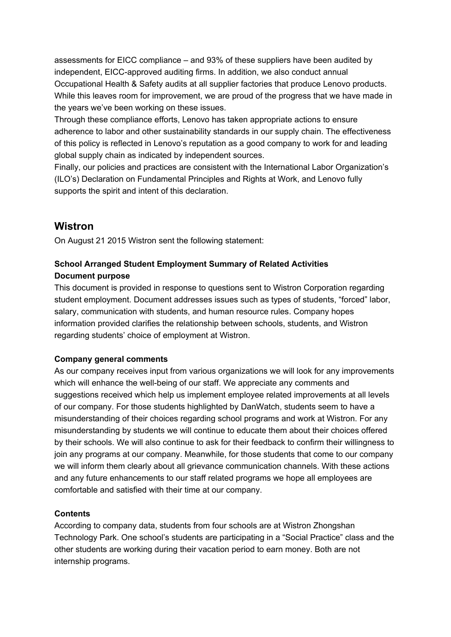assessments for EICC compliance – and 93% of these suppliers have been audited by independent, EICC-approved auditing firms. In addition, we also conduct annual Occupational Health & Safety audits at all supplier factories that produce Lenovo products. While this leaves room for improvement, we are proud of the progress that we have made in the years we've been working on these issues.

Through these compliance efforts, Lenovo has taken appropriate actions to ensure adherence to labor and other sustainability standards in our supply chain. The effectiveness of this policy is reflected in Lenovo's reputation as a good company to work for and leading global supply chain as indicated by independent sources.

Finally, our policies and practices are consistent with the International Labor Organization's (ILO's) Declaration on Fundamental Principles and Rights at Work, and Lenovo fully supports the spirit and intent of this declaration.

### **Wistron**

On August 21 2015 Wistron sent the following statement:

### **School Arranged Student Employment Summary of Related Activities Document purpose**

This document is provided in response to questions sent to Wistron Corporation regarding student employment. Document addresses issues such as types of students, "forced" labor, salary, communication with students, and human resource rules. Company hopes information provided clarifies the relationship between schools, students, and Wistron regarding students' choice of employment at Wistron.

#### **Company general comments**

As our company receives input from various organizations we will look for any improvements which will enhance the well-being of our staff. We appreciate any comments and suggestions received which help us implement employee related improvements at all levels of our company. For those students highlighted by DanWatch, students seem to have a misunderstanding of their choices regarding school programs and work at Wistron. For any misunderstanding by students we will continue to educate them about their choices offered by their schools. We will also continue to ask for their feedback to confirm their willingness to join any programs at our company. Meanwhile, for those students that come to our company we will inform them clearly about all grievance communication channels. With these actions and any future enhancements to our staff related programs we hope all employees are comfortable and satisfied with their time at our company.

#### **Contents**

According to company data, students from four schools are at Wistron Zhongshan Technology Park. One school's students are participating in a "Social Practice" class and the other students are working during their vacation period to earn money. Both are not internship programs.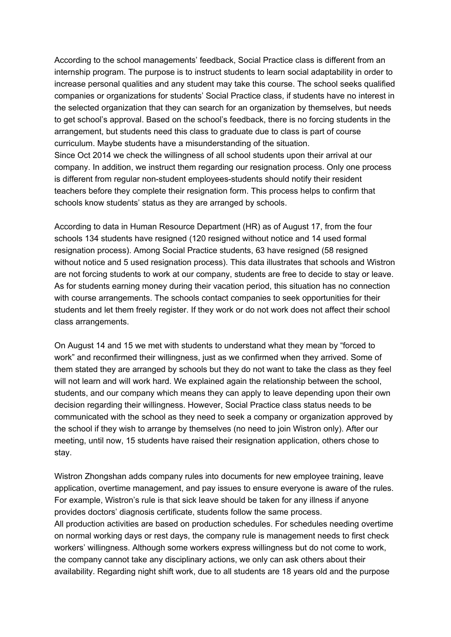According to the school managements' feedback, Social Practice class is different from an internship program. The purpose is to instruct students to learn social adaptability in order to increase personal qualities and any student may take this course. The school seeks qualified companies or organizations for students' Social Practice class, if students have no interest in the selected organization that they can search for an organization by themselves, but needs to get school's approval. Based on the school's feedback, there is no forcing students in the arrangement, but students need this class to graduate due to class is part of course curriculum. Maybe students have a misunderstanding of the situation. Since Oct 2014 we check the willingness of all school students upon their arrival at our company. In addition, we instruct them regarding our resignation process. Only one process is different from regular non-student employees-students should notify their resident teachers before they complete their resignation form. This process helps to confirm that schools know students' status as they are arranged by schools.

According to data in Human Resource Department (HR) as of August 17, from the four schools 134 students have resigned (120 resigned without notice and 14 used formal resignation process). Among Social Practice students, 63 have resigned (58 resigned without notice and 5 used resignation process). This data illustrates that schools and Wistron are not forcing students to work at our company, students are free to decide to stay or leave. As for students earning money during their vacation period, this situation has no connection with course arrangements. The schools contact companies to seek opportunities for their students and let them freely register. If they work or do not work does not affect their school class arrangements.

On August 14 and 15 we met with students to understand what they mean by "forced to work" and reconfirmed their willingness, just as we confirmed when they arrived. Some of them stated they are arranged by schools but they do not want to take the class as they feel will not learn and will work hard. We explained again the relationship between the school, students, and our company which means they can apply to leave depending upon their own decision regarding their willingness. However, Social Practice class status needs to be communicated with the school as they need to seek a company or organization approved by the school if they wish to arrange by themselves (no need to join Wistron only). After our meeting, until now, 15 students have raised their resignation application, others chose to stay.

Wistron Zhongshan adds company rules into documents for new employee training, leave application, overtime management, and pay issues to ensure everyone is aware of the rules. For example, Wistron's rule is that sick leave should be taken for any illness if anyone provides doctors' diagnosis certificate, students follow the same process. All production activities are based on production schedules. For schedules needing overtime on normal working days or rest days, the company rule is management needs to first check workers' willingness. Although some workers express willingness but do not come to work, the company cannot take any disciplinary actions, we only can ask others about their availability. Regarding night shift work, due to all students are 18 years old and the purpose